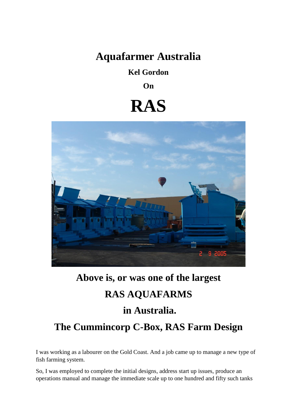# **Aquafarmer Australia**

**Kel Gordon**

**On** 

# **RAS**



### **Above is, or was one of the largest**

# **RAS AQUAFARMS**

# **in Australia.**

# **The Cummincorp C-Box, RAS Farm Design**

I was working as a labourer on the Gold Coast. And a job came up to manage a new type of fish farming system.

So, I was employed to complete the initial designs, address start up issues, produce an operations manual and manage the immediate scale up to one hundred and fifty such tanks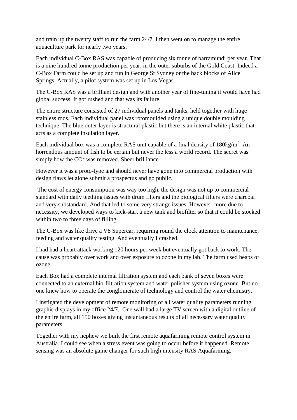and train up the twenty staff to run the farm 24/7. I then went on to manage the entire aquaculture park for nearly two years.

Each individual C-Box RAS was capable of producing six tonne of barramundi per year. That is a nine hundred tonne production per year, in the outer suburbs of the Gold Coast. Indeed a C-Box Farm could be set up and run in George St Sydney or the back blocks of Alice Springs. Actually, a pilot system was set up in Los Vegas.

The C-Box RAS was a brilliant design and with another year of fine-tuning it would have had global success. It got rushed and that was its failure.

The entire structure consisted of 27 individual panels and tanks, held together with huge stainless rods. Each individual panel was rotomoulded using a unique double moulding technique. The blue outer layer is structural plastic but there is an internal white plastic that acts as a complete insulation layer.

Each individual box was a complete RAS unit capable of a final density of  $180\text{kg/m}^2$ . An horrendous amount of fish to be certain but never the less a world record. The secret was simply how the  $CO<sup>2</sup>$  was removed. Sheer brilliance.

However it was a proto-type and should never have gone into commercial production with design flaws let alone submit a prospectus and go public.

The cost of energy consumption was way too high, the design was not up to commercial standard with daily teething issues with drum filters and the biological filters were charcoal and very substandard. And that led to some very strange issues. However, more due to necessity, we developed ways to kick-start a new tank and biofilter so that it could be stocked within two to three days of filling.

The C-Box was like drive a V8 Supercar, requiring round the clock attention to maintenance, feeding and water quality testing. And eventually I crashed.

I had had a heart attack working 120 hours per week but eventually got back to work. The cause was probably over work and over exposure to ozone in my lab. The farm used heaps of ozone.

Each Box had a complete internal filtration system and each bank of seven boxes were connected to an external bio-filtration system and water polisher system using ozone. But no one knew how to operate the conglomerate of technology and control the water chemistry.

I instigated the development of remote monitoring of all water quality parameters running graphic displays in my office 24/7. One wall had a large TV screen with a digital outline of the entire farm, all 150 boxes giving instantaneous results of all necessary water quality parameters.

Together with my nephew we built the first remote aquafarming remote control system in Australia. I could see when a stress event was going to occur before it happened. Remote sensing was an absolute game changer for such high intensity RAS Aquafarming.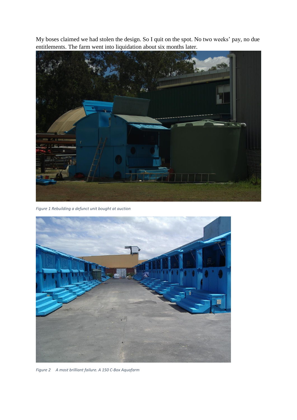My boses claimed we had stolen the design. So I quit on the spot. No two weeks' pay, no due entitlements. The farm went into liquidation about six months later.



*Figure 1 Rebuilding a defunct unit bought at auction*



*Figure 2 A most brilliant failure. A 150 C-Box Aquafarm*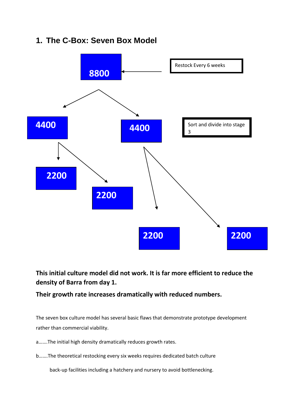### **1. The C-Box: Seven Box Model**



### **This initial culture model did not work. It is far more efficient to reduce the density of Barra from day 1.**

**Their growth rate increases dramatically with reduced numbers.**

The seven box culture model has several basic flaws that demonstrate prototype development rather than commercial viability.

a…….The initial high density dramatically reduces growth rates.

b…….The theoretical restocking every six weeks requires dedicated batch culture

back-up facilities including a hatchery and nursery to avoid bottlenecking.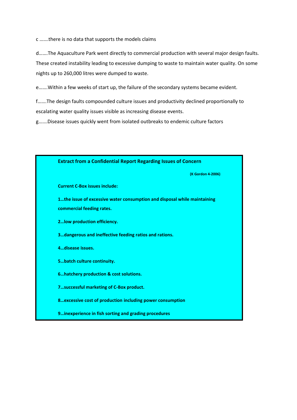c …….there is no data that supports the models claims

d…….The Aquaculture Park went directly to commercial production with several major design faults. These created instability leading to excessive dumping to waste to maintain water quality. On some nights up to 260,000 litres were dumped to waste.

e…….Within a few weeks of start up, the failure of the secondary systems became evident.

f…….The design faults compounded culture issues and productivity declined proportionally to escalating water quality issues visible as increasing disease events.

g…….Disease issues quickly went from isolated outbreaks to endemic culture factors

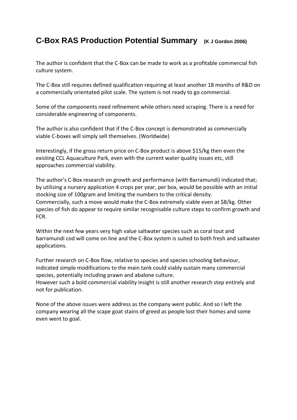### **C-Box RAS Production Potential Summary (K J Gordon 2006)**

The author is confident that the C-Box can be made to work as a profitable commercial fish culture system.

The C-Box still requires defined qualification requiring at least another 18 months of R&D on a commercially orientated pilot scale. The system is not ready to go commercial.

Some of the components need refinement while others need scraping. There is a need for considerable engineering of components.

The author is also confident that if the C-Box concept is demonstrated as commercially viable C-boxes will simply sell themselves. (Worldwide)

Interestingly, if the gross return price on C-Box product is above \$15/kg then even the existing CCL Aquaculture Park, even with the current water quality issues etc, still approaches commercial viability.

The author's C-Box research on growth and performance (with Barramundi) indicated that; by utilising a nursery application 4 crops per year, per box, would be possible with an initial stocking size of 100gram and limiting the numbers to the critical density. Commercially, such a move would make the C-Box extremely viable even at \$8/kg. Other species of fish do appear to require similar recognisable culture steps to confirm growth and FCR.

Within the next few years very high value saltwater species such as coral tout and barramundi cod will come on line and the C-Box system is suited to both fresh and saltwater applications.

Further research on C-Box flow, relative to species and species schooling behaviour, indicated simple modifications to the main tank could viably sustain many commercial species, potentially including prawn and abalone culture. However such a bold commercial viability insight is still another research step entirely and

not for publication.

None of the above issues were address as the company went public. And so I left the company wearing all the scape goat stains of greed as people lost their homes and some even went to goal.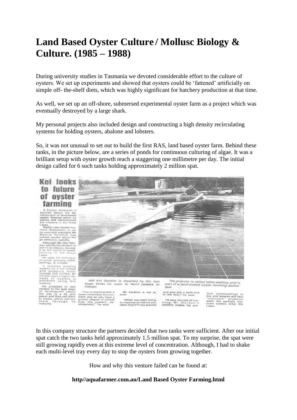# **Land Based Oyster Culture / Mollusc Biology & Culture. (1985 – 1988)**

During university studies in Tasmania we devoted considerable effort to the culture of oysters. We set up experiments and showed that oysters could be 'fattened' artificially on simple off- the-shelf diets, which was highly significant for hatchery production at that time.

As well, we set up an off-shore, submersed experimental oyster farm as a project which was eventually destroyed by a large shark.

My personal projects also included design and constructing a high density recirculating systems for holding oysters, abalone and lobsters.

So, it was not unusual to set out to build the first RAS, land based oyster farm. Behind these tanks, in the picture below, are a series of ponds for continuous culturing of algae. It was a brilliant setup with oyster growth reach a staggering one millimetre per day. The initial design called for 6 such tanks holding approximately 2 million spat.

### **Kel looks** to future of ovster farmino

A Forster electrician in<br>excited about his development of land-based<br>velopment of land-based<br>ovaiter forming wilch his<br>claims will revolutionize<br>the industry in the Great

ikes.<br>Wallis Lake Oyster Far-Wester Easter Open Farm and president Manuscript<br>nurst Association is not president Manuscript<br>Assure Verdilich, has a<br>discute Verdilich, has a<br>caesiung Manuscript<br>caesarily Association<br>on admiss his greenes is<br>an the inte

kee<br>de says his technique<br>oyster growing, hable<br>iling), is unique.

welling), is unique.<br>Ti rivulves graving<br>mysters on a flat surface<br>and parmping water<br>flood singular shipper des<br>Gordon says shipper des<br>mailty of systems in<br>melliour.<br>melliour. etlicit.

He proposes to take<br>ysters to the spar stage<br>of development (about 0.0)<br>we size of a 20 cent<br>ecal and then sall tham proce) an<br>to leages<br>them is, which will<br>through will se  $t<sub>0</sub>$ 



tanks he uses to farm oysters in Forster

 $\begin{array}{c} \neg \forall \alpha u \, \forall v \, \text{working with a} \\ \text{more controlled environment} \\ \text{and and so you have a} \\ \text{power value degree of control} \\ \text{over the } \alpha y \text{start} \\ \text{of } \alpha \\ \text{velocity} \end{array}$ Mr Verditch is not so "When you start trying to improve on neture you<br>often find it'll turn around

and give you a swift kick<br>in the face," he said. He says the cost of run<br>ning Mr Gordon's<br>scheme makes his product uneconomical<br>buy and leasees will fa buy and leanees will face<br>"overcatch" problems<br>when the partially ma-<br>tured oysters enter the<br>Lakes.

In this company structure the partners decided that two tanks were sufficient. After our initial spat catch the two tanks held approximately 1.5 million spat. To my surprise, the spat were still growing rapidly even at this extreme level of concentration. Although, I had to shake each multi-level tray every day to stop the oysters from growing together.

How and why this venture failed can be found at:

### **http//aquafarmer.com.au/Land Based Oyster Farming.html**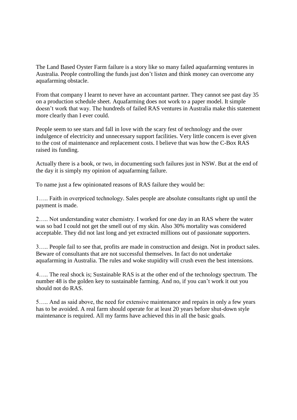The Land Based Oyster Farm failure is a story like so many failed aquafarming ventures in Australia. People controlling the funds just don't listen and think money can overcome any aquafarming obstacle.

From that company I learnt to never have an accountant partner. They cannot see past day 35 on a production schedule sheet. Aquafarming does not work to a paper model. It simple doesn't work that way. The hundreds of failed RAS ventures in Australia make this statement more clearly than I ever could.

People seem to see stars and fall in love with the scary fest of technology and the over indulgence of electricity and unnecessary support facilities. Very little concern is ever given to the cost of maintenance and replacement costs. I believe that was how the C-Box RAS raised its funding.

Actually there is a book, or two, in documenting such failures just in NSW. But at the end of the day it is simply my opinion of aquafarming failure.

To name just a few opinionated reasons of RAS failure they would be:

1….. Faith in overpriced technology. Sales people are absolute consultants right up until the payment is made.

2….. Not understanding water chemistry. I worked for one day in an RAS where the water was so bad I could not get the smell out of my skin. Also 30% mortality was considered acceptable. They did not last long and yet extracted millions out of passionate supporters.

3….. People fail to see that, profits are made in construction and design. Not in product sales. Beware of consultants that are not successful themselves. In fact do not undertake aquafarming in Australia. The rules and woke stupidity will crush even the best intensions.

4….. The real shock is; Sustainable RAS is at the other end of the technology spectrum. The number 48 is the golden key to sustainable farming. And no, if you can't work it out you should not do RAS.

5….. And as said above, the need for extensive maintenance and repairs in only a few years has to be avoided. A real farm should operate for at least 20 years before shut-down style maintenance is required. All my farms have achieved this in all the basic goals.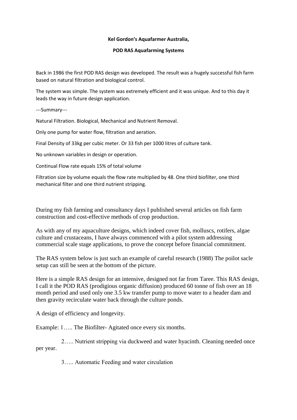#### **Kel Gordon's Aquafarmer Australia,**

#### **POD RAS Aquafarming Systems**

Back in 1986 the first POD RAS design was developed. The result was a hugely successful fish farm based on natural filtration and biological control.

The system was simple. The system was extremely efficient and it was unique. And to this day it leads the way in future design application.

---Summary---

Natural Filtration. Biological, Mechanical and Nutrient Removal.

Only one pump for water flow, filtration and aeration.

Final Density of 33kg per cubic meter. Or 33 fish per 1000 litres of culture tank.

No unknown variables in design or operation.

Continual Flow rate equals 15% of total volume

Filtration size by volume equals the flow rate multiplied by 48. One third biofilter, one third mechanical filter and one third nutrient stripping.

During my fish farming and consultancy days I published several articles on fish farm construction and cost-effective methods of crop production.

As with any of my aquaculture designs, which indeed cover fish, molluscs, rotifers, algae culture and crustaceans, I have always commenced with a pilot system addressing commercial scale stage applications, to prove the concept before financial commitment.

The RAS system below is just such an example of careful research (1988) The poilot sacle setup can still be seen at the bottom of the picture.

Here is a simple RAS design for an intensive, designed not far from Taree. This RAS design, I call it the POD RAS (prodigious organic diffusion) produced 60 tonne of fish over an 18 month period and used only one 3.5 kw transfer pump to move water to a header dam and then gravity recirculate water back through the culture ponds.

A design of efficiency and longevity.

Example: 1….. The Biofilter- Agitated once every six months.

 2….. Nutrient stripping via duckweed and water hyacinth. Cleaning needed once per year.

3….. Automatic Feeding and water circulation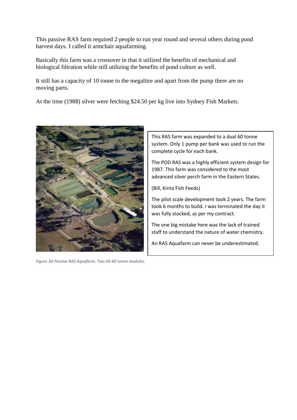This passive RAS farm required 2 people to run year round and several others during pond harvest days. I called it armchair aquafarming.

Basically this farm was a crossover in that it utilized the benefits of mechanical and biological filtration while still utilizing the benefits of pond culture as well.

It still has a capacity of 10 tonne to the megalitre and apart from the pump there are no moving parts.

At the time (1988) silver were fetching \$24.50 per kg live into Sydney Fish Markets.



*Figure 3A Passive RAS Aquafarm. Two 50-60 tonne modules.*

This RAS farm was expanded to a dual 60 tonne system. Only 1 pump per bank was used to run the complete cycle for each bank.

The POD RAS was a highly efficient system design for 1987. This farm was considered to the most advanced silver perch farm in the Eastern States.

(Bill, Kinta Fish Feeds)

The pilot scale development took 2 years. The farm took 6 months to build. I was terminated the day it was fully stocked, as per my contract.

The one big mistake here was the lack of trained staff to understand the nature of water chemistry.

An RAS Aquafarm can never be underestimated.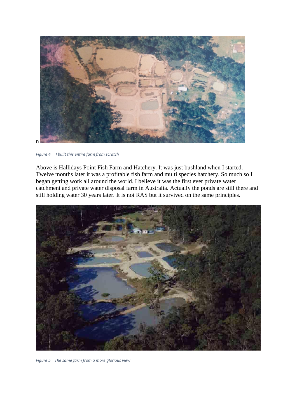

*Figure 4 I built this entire farm from scratch*

Above is Hallidays Point Fish Farm and Hatchery. It was just bushland when I started. Twelve months later it was a profitable fish farm and multi species hatchery. So much so I began getting work all around the world. I believe it was the first ever private water catchment and private water disposal farm in Australia. Actually the ponds are still there and still holding water 30 years later. It is not RAS but it survived on the same principles.



*Figure 5 The same farm from a more glorious view*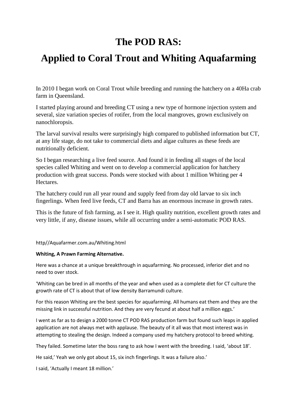# **The POD RAS:**

# **Applied to Coral Trout and Whiting Aquafarming**

In 2010 I began work on Coral Trout while breeding and running the hatchery on a 40Ha crab farm in Queensland.

I started playing around and breeding CT using a new type of hormone injection system and several, size variation species of rotifer, from the local mangroves, grown exclusively on nanochloropsis.

The larval survival results were surprisingly high compared to published information but CT, at any life stage, do not take to commercial diets and algae cultures as these feeds are nutritionally deficient.

So I began researching a live feed source. And found it in feeding all stages of the local species called Whiting and went on to develop a commercial application for hatchery production with great success. Ponds were stocked with about 1 million Whiting per 4 Hectares.

The hatchery could run all year round and supply feed from day old larvae to six inch fingerlings. When feed live feeds, CT and Barra has an enormous increase in growth rates.

This is the future of fish farming, as I see it. High quality nutrition, excellent growth rates and very little, if any, disease issues, while all occurring under a semi-automatic POD RAS.

### http//Aquafarmer.com.au/Whiting.html

### **Whiting, A Prawn Farming Alternative.**

Here was a chance at a unique breakthrough in aquafarming. No processed, inferior diet and no need to over stock.

'Whiting can be bred in all months of the year and when used as a complete diet for CT culture the growth rate of CT is about that of low density Barramundi culture.

For this reason Whiting are the best species for aquafarming. All humans eat them and they are the missing link in successful nutrition. And they are very fecund at about half a million eggs.'

I went as far as to design a 2000 tonne CT POD RAS production farm but found such leaps in applied application are not always met with applause. The beauty of it all was that most interest was in attempting to stealing the design. Indeed a company used my hatchery protocol to breed whiting.

They failed. Sometime later the boss rang to ask how I went with the breeding. I said, 'about 18'.

He said,' Yeah we only got about 15, six inch fingerlings. It was a failure also.'

I said, 'Actually I meant 18 million.'